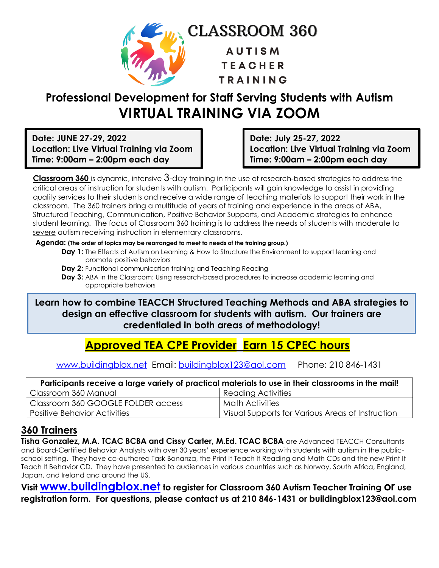

# **Professional Development for Staff Serving Students with Autism VIRTUAL TRAINING VIA ZOOM**

**Date: JUNE 27-29, 2022 Location: Live Virtual Training via Zoom Time: 9:00am – 2:00pm each day**

**Date: July 25-27, 2022 Location: Live Virtual Training via Zoom Time: 9:00am – 2:00pm each day**

**Classroom 360** is dynamic, intensive 3-day training in the use of research-based strategies to address the critical areas of instruction for students with autism. Participants will gain knowledge to assist in providing quality services to their students and receive a wide range of teaching materials to support their work in the classroom. The 360 trainers bring a multitude of years of training and experience in the areas of ABA, Structured Teaching, Communication, Positive Behavior Supports, and Academic strategies to enhance student learning. The focus of Classroom 360 training is to address the needs of students with moderate to severe autism receiving instruction in elementary classrooms.

#### **Agenda: (The order of topics may be rearranged to meet to needs of the training group.)**

- **Day 1:** The Effects of Autism on Learning & How to Structure the Environment to support learning and promote positive behaviors
- **Day 2:** Functional communication training and Teaching Reading
- **Day 3:** ABA in the Classroom: Using research-based procedures to increase academic learning and appropriate behaviors

**Learn how to combine TEACCH Structured Teaching Methods and ABA strategies to design an effective classroom for students with autism. Our trainers are credentialed in both areas of methodology!**

## **Approved TEA CPE Provider Earn 15 CPEC hours**

[www.buildingblox.net](http://www.buildingblox.net/) Email: [buildingblox123@aol.com](mailto:buildingblox123@aol.com) Phone: 210 846-1431

| Participants receive a large variety of practical materials to use in their classrooms in the mail! |                                                  |
|-----------------------------------------------------------------------------------------------------|--------------------------------------------------|
| Classroom 360 Manual                                                                                | <sup>1</sup> Reading Activities                  |
| Classroom 360 GOOGLE FOLDER access                                                                  | <b>Math Activities</b>                           |
| <b>Positive Behavior Activities</b>                                                                 | Visual Supports for Various Areas of Instruction |

## **360 Trainers**

**Tisha Gonzalez, M.A. TCAC BCBA and Cissy Carter, M.Ed. TCAC BCBA** are Advanced TEACCH Consultants and Board-Certified Behavior Analysts with over 30 years' experience working with students with autism in the publicschool setting. They have co-authored Task Bonanza, the Print It Teach It Reading and Math CDs and the new Print It Teach It Behavior CD. They have presented to audiences in various countries such as Norway, South Africa, England, Japan, and Ireland and around the US.

**Visit [www.buildingblox.net](http://www.buildingblox.net/) to register for Classroom 360 Autism Teacher Training or use registration form. For questions, please contact us at 210 846-1431 or buildingblox123@aol.com**